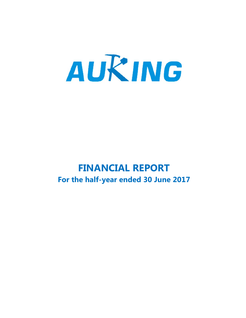

# **FINANCIAL REPORT For the half-year ended 30 June 2017**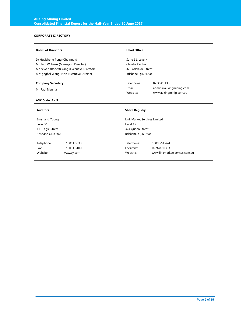### **CORPORATE DIRECTORY**

| <b>Board of Directors</b>            |                                             | <b>Head Office</b>                  |                               |  |  |
|--------------------------------------|---------------------------------------------|-------------------------------------|-------------------------------|--|--|
| Dr Huaisheng Peng (Chairman)         |                                             | Suite 11, Level 4                   |                               |  |  |
| Mr Paul Williams (Managing Director) |                                             | Christie Centre                     |                               |  |  |
|                                      | Mr Zewen (Robert) Yang (Executive Director) | 320 Adelaide Street                 |                               |  |  |
|                                      | Mr Qinghai Wang (Non-Executive Director)    | Brisbane QLD 4000                   |                               |  |  |
| <b>Company Secretary</b>             |                                             | Telephone:                          | 07 3041 1306                  |  |  |
| Mr Paul Marshall                     |                                             | Email:                              | admin@aukingmining.com        |  |  |
|                                      |                                             | Website:                            | www.aukingminig.com.au        |  |  |
| <b>ASX Code: AKN</b>                 |                                             |                                     |                               |  |  |
| <b>Auditors</b>                      |                                             | <b>Share Registry</b>               |                               |  |  |
| Ernst and Young                      |                                             | <b>Link Market Services Limited</b> |                               |  |  |
| Level 51                             |                                             | Level 15                            |                               |  |  |
| 111 Eagle Street                     |                                             | 324 Queen Street                    |                               |  |  |
| Brisbane OLD 4000                    |                                             | Brisbane OLD 4000                   |                               |  |  |
|                                      |                                             |                                     |                               |  |  |
|                                      |                                             |                                     |                               |  |  |
| Telephone:                           | 07 3011 3333                                | Telephone:                          | 1300 554 474                  |  |  |
| Fax:                                 | 07 3011 3100                                | Facsimile:                          | 02 9287 0303                  |  |  |
| Website:                             | www.ey.com                                  | Website:                            | www.linkmarketservices.com.au |  |  |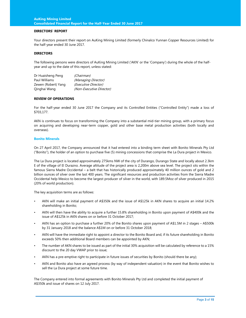#### **DIRECTORS' REPORT**

Your directors present their report on AuKing Mining Limited (formerly Chinalco Yunnan Copper Resources Limited) for the half-year ended 30 June 2017.

#### **DIRECTORS**

The following persons were directors of AuKing Mining Limited ('AKN' or the 'Company') during the whole of the halfyear and up to the date of this report, unless stated:

| Dr Huaisheng Peng   | (Chairman)               |
|---------------------|--------------------------|
| Paul Williams       | (Managing Director)      |
| Zewen (Robert) Yang | (Executive Director)     |
| Qinghai Wang        | (Non-Executive Director) |

#### **REVIEW OF OPERATIONS**

For the half-year ended 30 June 2017 the Company and its Controlled Entities ("Controlled Entity") made a loss of \$703,177.

AKN is continues to focus on transforming the Company into a substantial mid-tier mining group, with a primary focus on acquiring and developing near-term copper, gold and other base metal production activities (both locally and overseas).

#### **Bonito Minerals**

On 27 April 2017, the Company announced that it had entered into a binding term sheet with Bonito Minerals Pty Ltd ("Bonito"), the holder of an option to purchase five (5) mining concessions that comprise the La Dura project in Mexico.

The La Dura project is located approximately 275kms NW of the city of Durango, Durango State and locally about 2.3km E of the village of El Durazno. Average altitude of the project area is 2,200m above sea level. The project sits within the famous Sierra Madre Occidental – a belt that has historically produced approximately 40 million ounces of gold and 2 billion ounces of silver over the last 400 years. The significant resources and production activities from the Sierra Madre Occidental help Mexico to become the largest producer of silver in the world, with 189.5Moz of silver produced in 2015 (20% of world production).

The key acquisition terms are as follows:

- AKN will make an initial payment of A\$350k and the issue of A\$125k in AKN shares to acquire an initial 14.2% shareholding in Bonito;
- AKN will then have the ability to acquire a further 15.8% shareholding in Bonito upon payment of A\$400k and the issue of A\$125k in AKN shares on or before 31 October 2017;
- AKN has an option to purchase a further 20% of the Bonito shares upon payment of A\$1.5M in 2 stages A\$500k by 31 January 2018 and the balance A\$1M on or before 31 October 2018;
- AKN will have the immediate right to appoint a director to the Bonito Board and, if its future shareholding in Bonito exceeds 50% then additional Board members can be appointed by AKN;
- The number of AKN shares to be issued as part of the initial 30% acquisition will be calculated by reference to a 15% discount to the 20 day VWAP prior to issue;
- AKN has a pre-emptive right to participate in future issues of securities by Bonito (should there be any);
- AKN and Bonito also have an agreed process (by way of independent valuation) in the event that Bonito wishes to sell the La Dura project at some future time.

The Company entered into formal agreements with Bonito Minerals Pty Ltd and completed the initial payment of A\$350k and issue of shares on 12 July 2017.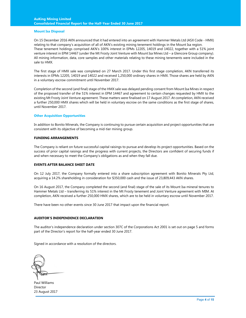#### **AuKing Mining Limited Consolidated Financial Report for the Half-Year Ended 30 June 2017**

#### **Mount Isa Disposal**

On 15 December 2016 AKN announced that it had entered into an agreement with Hammer Metals Ltd (ASX Code - HMX) relating to that company's acquisition of all of AKN's existing mining tenement holdings in the Mount Isa region. These tenement holdings comprised AKN's 100% interest in EPMs 12205, 14019 and 14022, together with a 51% joint venture interest in EPM 14467 (under the Mt Frosty Joint Venture with Mount Isa Mines Ltd – a Glencore Group company). All mining information, data, core samples and other materials relating to these mining tenements were included in the sale to HMX.

The first stage of HMX sale was completed on 27 March 2017. Under this first stage completion, AKN transferred its interests in EPMs 12205, 14019 and 14022 and received 1,250,000 ordinary shares in HMX. Those shares are held by AKN in a voluntary escrow commitment until November 2017.

Completion of the second (and final) stage of the HMX sale was delayed pending consent from Mount Isa Mines in respect of the proposed transfer of the 51% interest in EPM 14467 and agreement to certain changes requested by HMX to the existing Mt Frosty Joint Venture agreement. These matters were finalised on 17 August 2017. At completion, AKN received a further 250,000 HMX shares which will be held in voluntary escrow on the same conditions as the first stage of shares, until November 2017.

#### **Other Acquisition Opportunities**

In addition to Bonito Minerals, the Company is continuing to pursue certain acquisition and project opportunities that are consistent with its objective of becoming a mid-tier mining group.

#### **FUNDING ARRANGEMENTS**

The Company is reliant on future successful capital raisings to pursue and develop its project opportunities. Based on the success of prior capital raisings and the progress with current projects, the Directors are confident of securing funds if and when necessary to meet the Company's obligations as and when they fall due.

#### **EVENTS AFTER BALANCE SHEET DATE**

On 12 July 2017, the Company formally entered into a share subscription agreement with Bonito Minerals Pty Ltd, acquiring a 14.2% shareholding in consideration for \$350,000 cash and the issue of 23,809,443 AKN shares.

On 16 August 2017, the Company completed the second (and final) stage of the sale of its Mount Isa mineral tenures to Hammer Metals Ltd – transferring its 51% interest in the Mt Frosty tenement and Joint Venture agreement with MIM. At completion, AKN received a further 250,000 HMX shares, which are to be held in voluntary escrow until November 2017.

There have been no other events since 30 June 2017 that impact upon the financial report.

#### **AUDITOR'S INDEPENDENCE DECLARATION**

The auditor's independence declaration under section 307C of the Corporations Act 2001 is set out on page 5 and forms part of the Director's report for the half-year ended 30 June 2017.

Signed in accordance with a resolution of the directors.

Paul Williams Director 23 August 2017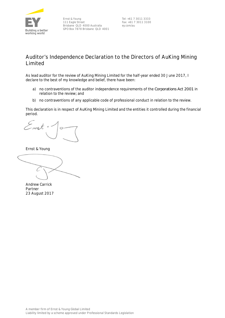

Ernst & Young 111 Eagle Street Brisbane QLD 4000 Australia GPO Box 7878 Brisbane QLD 4001

Tel: +61 7 3011 3333 Fax: +61 7 3011 3100 ey.com/au

# **Auditor's Independence Declaration to the Directors of AuKing Mining Limited**

As lead auditor for the review of AuKing Mining Limited for the half-year ended 30 June 2017, I declare to the best of my knowledge and belief, there have been:

- a) no contraventions of the auditor independence requirements of the *Corporations Act 2001* in relation to the review*;* and
- b) no contraventions of any applicable code of professional conduct in relation to the review.

This declaration is in respect of AuKing Mining Limited and the entities it controlled during the financial period.

u t

Ernst & Young

Andrew Carrick Partner 23 August 2017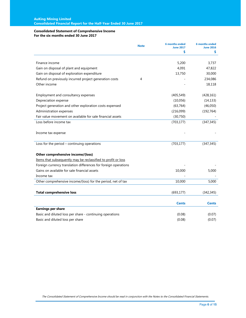#### **Consolidated Statement of Comprehensive Income For the six months ended 30 June 2017**

|                                                                 | <b>Note</b> | <b>6 months ended</b><br><b>June 2017</b> | <b>6 months ended</b><br><b>June 2016</b> |
|-----------------------------------------------------------------|-------------|-------------------------------------------|-------------------------------------------|
|                                                                 |             | \$                                        | \$                                        |
|                                                                 |             |                                           |                                           |
| Finance income                                                  |             | 5,200                                     | 3,737                                     |
| Gain on disposal of plant and equipment                         |             | 4,091                                     | 47,822                                    |
| Gain on disposal of exploration expenditure                     |             | 13,750                                    | 30,000                                    |
| Refund on previously incurred project generation costs          | 4           |                                           | 234,086                                   |
| Other income                                                    |             |                                           | 18,118                                    |
| Employment and consultancy expenses                             |             | (405, 549)                                | (428, 161)                                |
| Depreciation expense                                            |             | (10,056)                                  | (14, 133)                                 |
| Project generation and other exploration costs expensed         |             | (63, 764)                                 | (46, 050)                                 |
| Administration expenses                                         |             | (216,099)                                 | (192, 764)                                |
| Fair value movement on available for sale financial assets      |             | (30,750)                                  |                                           |
| Loss before income tax                                          |             | (703, 177)                                | (347, 345)                                |
| Income tax expense                                              |             |                                           |                                           |
| Loss for the period - continuing operations                     |             | (703, 177)                                | (347, 345)                                |
| Other comprehensive income/(loss)                               |             |                                           |                                           |
| Items that subsequently may be reclassified to profit or loss   |             |                                           |                                           |
| Foreign currency translation differences for foreign operations |             |                                           |                                           |
| Gains on available for sale financial assets                    |             | 10,000                                    | 5,000                                     |
| Income tax                                                      |             |                                           |                                           |
| Other comprehensive income/(loss) for the period, net of tax    |             | 10,000                                    | 5,000                                     |
| <b>Total comprehensive loss</b>                                 |             | (693, 177)                                | (342, 345)                                |
|                                                                 |             | Cents                                     | <b>Cents</b>                              |
| <b>Earnings per share</b>                                       |             |                                           |                                           |
| Basic and diluted loss per share - continuing operations        |             | (0.08)                                    | (0.07)                                    |
| Basic and diluted loss per share                                |             | (0.08)                                    | (0.07)                                    |

The Consolidated Statement of Comprehensive Income should be read in conjunction with the Notes to the Consolidated Financial Statements.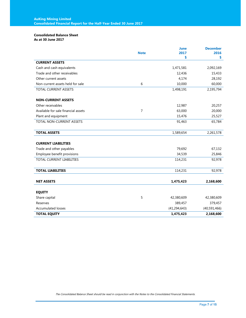### **Consolidated Balance Sheet**

**As at 30 June 2017** 

|                                     |                | <b>June</b>    | <b>December</b> |
|-------------------------------------|----------------|----------------|-----------------|
|                                     | <b>Note</b>    | 2017           | 2016            |
|                                     |                | \$             | \$              |
| <b>CURRENT ASSETS</b>               |                |                |                 |
| Cash and cash equivalents           |                | 1,471,581      | 2,092,169       |
| Trade and other receivables         |                | 12,436         | 15,433          |
| Other current assets                |                | 4,174          | 28,192          |
| Non-current assets held for sale    | 6              | 10,000         | 60,000          |
| TOTAL CURRENT ASSETS                |                | 1,498,191      | 2,195,794       |
| <b>NON-CURRENT ASSETS</b>           |                |                |                 |
| Other receivables                   |                | 12,987         | 20,257          |
| Available for sale financial assets | $\overline{7}$ | 63,000         | 20,000          |
| Plant and equipment                 |                | 15,476         | 25,527          |
| <b>TOTAL NON-CURRENT ASSETS</b>     |                | 91,463         | 65,784          |
|                                     |                |                |                 |
| <b>TOTAL ASSETS</b>                 |                | 1,589,654      | 2,261,578       |
| <b>CURRENT LIABILITIES</b>          |                |                |                 |
| Trade and other payables            |                | 79,692         | 67,132          |
| Employee benefit provisions         |                | 34,539         | 25,846          |
| <b>TOTAL CURRENT LIABILITIES</b>    |                | 114,231        | 92,978          |
|                                     |                |                |                 |
| <b>TOTAL LIABILITIES</b>            |                | 114,231        | 92,978          |
| <b>NET ASSETS</b>                   |                | 1,475,423      | 2,168,600       |
|                                     |                |                |                 |
| <b>EQUITY</b>                       |                |                |                 |
| Share capital                       | 5              | 42,380,609     | 42,380,609      |
| Reserves                            |                | 389,457        | 379,457         |
| <b>Accumulated losses</b>           |                | (41, 294, 643) | (40,591,466)    |
| <b>TOTAL EQUITY</b>                 |                | 1,475,423      | 2,168,600       |

The Consolidated Balance Sheet should be read in conjunction with the Notes to the Consolidated Financial Statements.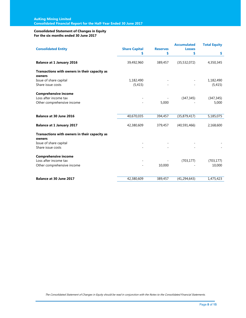#### **Consolidated Statement of Changes in Equity For the six months ended 30 June 2017**

| <b>Consolidated Entity</b>                              | <b>Share Capital</b> | <b>Reserves</b> | <b>Accumulated</b><br><b>Losses</b> | <b>Total Equity</b> |
|---------------------------------------------------------|----------------------|-----------------|-------------------------------------|---------------------|
|                                                         | \$                   | \$              | \$                                  | \$                  |
| <b>Balance at 1 January 2016</b>                        | 39,492,960           | 389,457         | (35, 532, 072)                      | 4,350,345           |
| Transactions with owners in their capacity as<br>owners |                      |                 |                                     |                     |
| Issue of share capital                                  | 1,182,490            |                 |                                     | 1,182,490           |
| Share issue costs                                       | (5, 415)             |                 |                                     | (5, 415)            |
| <b>Comprehensive income</b>                             |                      |                 |                                     |                     |
| Loss after income tax                                   |                      |                 | (347, 345)                          | (347, 345)          |
| Other comprehensive income                              |                      | 5,000           |                                     | 5,000               |
| <b>Balance at 30 June 2016</b>                          | 40,670,035           | 394,457         | (35,879,417)                        | 5,185,075           |
|                                                         |                      |                 |                                     |                     |
| <b>Balance at 1 January 2017</b>                        | 42,380,609           | 379,457         | (40,591,466)                        | 2,168,600           |
| Transactions with owners in their capacity as<br>owners |                      |                 |                                     |                     |
| Issue of share capital                                  |                      |                 |                                     |                     |
| Share issue costs                                       |                      |                 |                                     |                     |
| <b>Comprehensive income</b>                             |                      |                 |                                     |                     |
| Loss after income tax                                   |                      |                 | (703, 177)                          | (703, 177)          |
| Other comprehensive income                              |                      | 10,000          |                                     | 10,000              |
| <b>Balance at 30 June 2017</b>                          | 42,380,609           | 389,457         | (41, 294, 643)                      | 1,475,423           |
|                                                         |                      |                 |                                     |                     |

The Consolidated Statement of Changes in Equity should be read in conjunction with the Notes to the Consolidated Financial Statements.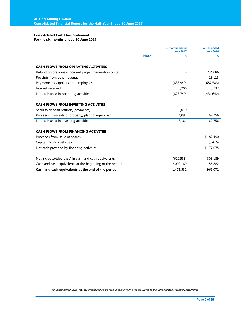### **Consolidated Cash Flow Statement**

### **For the six months ended 30 June 2017**

|                                                          |             | <b>6 months ended</b><br><b>June 2017</b> | <b>6 months ended</b><br><b>June 2016</b> |
|----------------------------------------------------------|-------------|-------------------------------------------|-------------------------------------------|
|                                                          | <b>Note</b> | \$                                        | \$                                        |
|                                                          |             |                                           |                                           |
| <b>CASH FLOWS FROM OPERATING ACTIVITIES</b>              |             |                                           |                                           |
| Refund on previously incurred project generation costs   |             |                                           | 234,086                                   |
| Receipts from other revenue                              |             |                                           | 18,118                                    |
| Payments to suppliers and employees                      |             | (633,949)                                 | (687, 583)                                |
| Interest received                                        |             | 5,200                                     | 3,737                                     |
| Net cash used in operating activities                    |             | (628, 749)                                | (431, 642)                                |
|                                                          |             |                                           |                                           |
| <b>CASH FLOWS FROM INVESTING ACTIVITIES</b>              |             |                                           |                                           |
| Security deposit refunds/(payments)                      |             | 4,070                                     |                                           |
| Proceeds from sale of property, plant & equipment        |             | 4,091                                     | 62,756                                    |
| Net cash used in investing activities                    |             | 8,161                                     | 62,756                                    |
|                                                          |             |                                           |                                           |
| <b>CASH FLOWS FROM FINANCING ACTIVITIES</b>              |             |                                           |                                           |
| Proceeds from issue of shares                            |             |                                           | 1,182,490                                 |
| Capital raising costs paid                               |             |                                           | (5, 415)                                  |
| Net cash provided by financing activities                |             |                                           | 1,177,075                                 |
|                                                          |             |                                           |                                           |
| Net increase/(decrease) in cash and cash equivalents     |             | (620, 588)                                | 808,189                                   |
| Cash and cash equivalents at the beginning of the period |             | 2,092,169                                 | 156,882                                   |
| Cash and cash equivalents at the end of the period       |             | 1,471,581                                 | 965,071                                   |

The Consolidated Cash Flow Statement should be read in conjunction with the Notes to the Consolidated Financial Statements.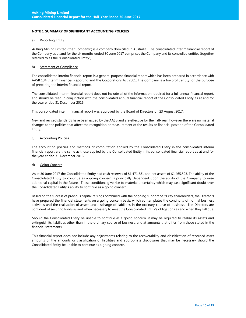#### **NOTE 1 SUMMARY OF SIGNIFICANT ACCOUNTING POLICIES**

#### a) Reporting Entity

AuKing Mining Limited (the "Company") is a company domiciled in Australia. The consolidated interim financial report of the Company as at and for the six months ended 30 June 2017 comprises the Company and its controlled entities (together referred to as the "Consolidated Entity").

#### b) Statement of Compliance

The consolidated interim financial report is a general purpose financial report which has been prepared in accordance with AASB 134 Interim Financial Reporting and the Corporations Act 2001. The Company is a for-profit entity for the purpose of preparing the interim financial report.

The consolidated interim financial report does not include all of the information required for a full annual financial report, and should be read in conjunction with the consolidated annual financial report of the Consolidated Entity as at and for the year ended 31 December 2016.

This consolidated interim financial report was approved by the Board of Directors on 23 August 2017.

New and revised standards have been issued by the AASB and are effective for the half-year; however there are no material changes to the policies that affect the recognition or measurement of the results or financial position of the Consolidated Entity.

#### c) Accounting Policies

The accounting policies and methods of computation applied by the Consolidated Entity in the consolidated interim financial report are the same as those applied by the Consolidated Entity in its consolidated financial report as at and for the year ended 31 December 2016.

#### d) Going Concern

As at 30 June 2017 the Consolidated Entity had cash reserves of \$1,471,581 and net assets of \$1,465,523. The ability of the Consolidated Entity to continue as a going concern is principally dependent upon the ability of the Company to raise additional capital in the future. These conditions give rise to material uncertainty which may cast significant doubt over the Consolidated Entity's ability to continue as a going concern.

Based on the success of previous capital raisings combined with the ongoing support of its key shareholders, the Directors have prepared the financial statements on a going concern basis, which contemplates the continuity of normal business activities and the realisation of assets and discharge of liabilities in the ordinary course of business. The Directors are confident of securing funds as and when necessary to meet the Consolidated Entity's obligations as and when they fall due.

Should the Consolidated Entity be unable to continue as a going concern, it may be required to realise its assets and extinguish its liabilities other than in the ordinary course of business, and at amounts that differ from those stated in the financial statements.

This financial report does not include any adjustments relating to the recoverability and classification of recorded asset amounts or the amounts or classification of liabilities and appropriate disclosures that may be necessary should the Consolidated Entity be unable to continue as a going concern.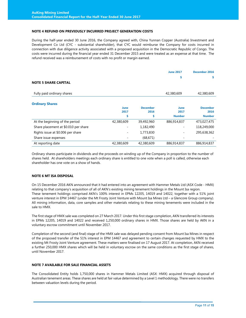#### **NOTE 4 REFUND ON PREVIOUSLY INCURRED PROJECT GENERATION COSTS**

During the half-year ended 30 June 2016, the Company agreed with, China Yunnan Copper (Australia) Investment and Development Co Ltd (CYC - substantial shareholder), that CYC would reimburse the Company for costs incurred in connection with due diligence activity associated with a proposed acquisition in the Democratic Republic of Congo. The costs were incurred during the financial year ended 31 December 2015 and were treated as an expense at that time. The refund received was a reimbursement of costs with no profit or margin earned.

|                                      |            |                 | <b>June 2017</b> | December 2016   |
|--------------------------------------|------------|-----------------|------------------|-----------------|
|                                      |            |                 | \$               | s               |
| <b>NOTE 5 SHARE CAPITAL</b>          |            |                 |                  |                 |
| Fully paid ordinary shares           |            |                 | 42,380,609       | 42,380,609      |
| <b>Ordinary Shares</b>               |            |                 |                  |                 |
|                                      | June       | <b>December</b> | June             | <b>December</b> |
|                                      | 2017       | 2016            | 2017             | 2016            |
|                                      | s          | \$              | <b>Number</b>    | <b>Number</b>   |
| At the beginning of the period       | 42,380,609 | 39,492,960      | 886,914,837      | 473,027,475     |
| Share placement at \$0.010 per share |            | 1,182,490       |                  | 118,249,000     |
| Rights issue at \$0.006 per share    |            | 1,773,830       |                  | 295,638,362     |
| Share issue expenses                 |            | (68, 671)       |                  |                 |
| At reporting date                    | 42,380,609 | 42,380,609      | 886,914,837      | 886,914,837     |

Ordinary shares participate in dividends and the proceeds on winding up of the Company in proportion to the number of shares held. At shareholders meetings each ordinary share is entitled to one vote when a poll is called, otherwise each shareholder has one vote on a show of hands.

#### **NOTE 6 MT ISA DISPOSAL**

On 15 December 2016 AKN announced that it had entered into an agreement with Hammer Metals Ltd (ASX Code - HMX) relating to that company's acquisition of all of AKN's existing mining tenement holdings in the Mount Isa region. These tenement holdings comprised AKN's 100% interest in EPMs 12205, 14019 and 14022, together with a 51% joint venture interest in EPM 14467 (under the Mt Frosty Joint Venture with Mount Isa Mines Ltd – a Glencore Group company). All mining information, data, core samples and other materials relating to these mining tenements were included in the sale to HMX.

The first stage of HMX sale was completed on 27 March 2017. Under this first stage completion, AKN transferred its interests in EPMs 12205, 14019 and 14022 and received 1,250,000 ordinary shares in HMX. Those shares are held by AKN in a voluntary escrow commitment until November 2017.

Completion of the second (and final) stage of the HMX sale was delayed pending consent from Mount Isa Mines in respect of the proposed transfer of the 51% interest in EPM 14467 and agreement to certain changes requested by HMX to the existing Mt Frosty Joint Venture agreement. These matters were finalised on 17 August 2017. At completion, AKN received a further 250,000 HMX shares which will be held in voluntary escrow on the same conditions as the first stage of shares, until November 2017.

#### **NOTE 7 AVAILABLE FOR SALE FINANCIAL ASSETS**

The Consolidated Entity holds 1,750,000 shares in Hammer Metals Limited (ASX: HMX) acquired through disposal of Australian tenement areas. These shares are held at fair value determined by a Level 1 methodology. There were no transfers between valuation levels during the period.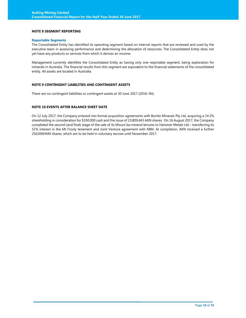#### **NOTE 8 SEGMENT REPORTING**

#### **Reportable Segments**

The Consolidated Entity has identified its operating segment based on internal reports that are reviewed and used by the executive team in assessing performance and determining the allocation of resources. The Consolidated Entity does not yet have any products or services from which it derives an income.

Management currently identifies the Consolidated Entity as having only one reportable segment, being exploration for minerals in Australia. The financial results from this segment are equivalent to the financial statements of the consolidated entity. All assets are located in Australia.

#### **NOTE 9 CONTINGENT LIABILITIES AND CONTINGENT ASSETS**

There are no contingent liabilities or contingent assets at 30 June 2017 (2016: Nil).

#### **NOTE 10 EVENTS AFTER BALANCE SHEET DATE**

On 12 July 2017, the Company entered into formal acquisition agreements with Bonito Minerals Pty Ltd, acquiring a 14.2% shareholding in consideration for \$350,000 cash and the issue of 23,809,443 AKN shares. On 16 August 2017, the Company completed the second (and final) stage of the sale of its Mount Isa mineral tenures to Hammer Metals Ltd – transferring its 51% interest in the Mt Frosty tenement and Joint Venture agreement with MIM. At completion, AKN received a further 250,000HMX shares, which are to be held in voluntary escrow until November 2017.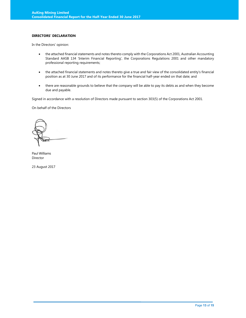#### **DIRECTORS' DECLARATION**

In the Directors' opinion:

- the attached financial statements and notes thereto comply with the Corporations Act 2001, Australian Accounting Standard AASB 134 'Interim Financial Reporting', the Corporations Regulations 2001 and other mandatory professional reporting requirements;
- the attached financial statements and notes thereto give a true and fair view of the consolidated entity's financial position as at 30 June 2017 and of its performance for the financial half-year ended on that date; and
- there are reasonable grounds to believe that the company will be able to pay its debts as and when they become due and payable.

Signed in accordance with a resolution of Directors made pursuant to section 303(5) of the Corporations Act 2001.

On behalf of the Directors

Paul Williams Director

23 August 2017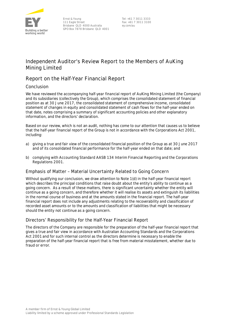

Tel: +61 7 3011 3333 Fax: +61 7 3011 3100 ey.com/au

# **Independent Auditor's Review Report to the Members of AuKing Mining Limited**

# **Report on the Half-Year Financial Report**

# Conclusion

We have reviewed the accompanying half-year financial report of AuKing Mining Limited (the Company) and its subsidiaries (collectively the Group), which comprises the consolidated statement of financial position as at 30 June 2017, the consolidated statement of comprehensive income, consolidated statement of changes in equity and consolidated statement of cash flows for the half-year ended on that date, notes comprising a summary of significant accounting policies and other explanatory information, and the directors' declaration.

Based on our review, which is not an audit, nothing has come to our attention that causes us to believe that the half-year financial report of the Group is not in accordance with the *Corporations Act 2001*, including:

- a) giving a true and fair view of the consolidated financial position of the Group as at 30 June 2017 and of its consolidated financial performance for the half-year ended on that date; and
- b) complying with Accounting Standard AASB 134 *Interim Financial Reporting* and the *Corporations Regulations 2001*.

## Emphasis of Matter – Material Uncertainty Related to Going Concern

Without qualifying our conclusion, we draw attention to Note 1(d) in the half-year financial report which describes the principal conditions that raise doubt about the entity's ability to continue as a going concern. As a result of these matters, there is significant uncertainty whether the entity will continue as a going concern, and therefore whether it will realise its assets and extinguish its liabilities in the normal course of business and at the amounts stated in the financial report. The half-year financial report does not include any adjustments relating to the recoverability and classification of recorded asset amounts or to the amounts and classification of liabilities that might be necessary should the entity not continue as a going concern.

# Directors' Responsibility for the Half-Year Financial Report

The directors of the Company are responsible for the preparation of the half-year financial report that gives a true and fair view in accordance with Australian Accounting Standards and the *Corporations Act 2001*and for such internal control as the directors determine is necessary to enable the preparation of the half-year financial report that is free from material misstatement, whether due to fraud or error.